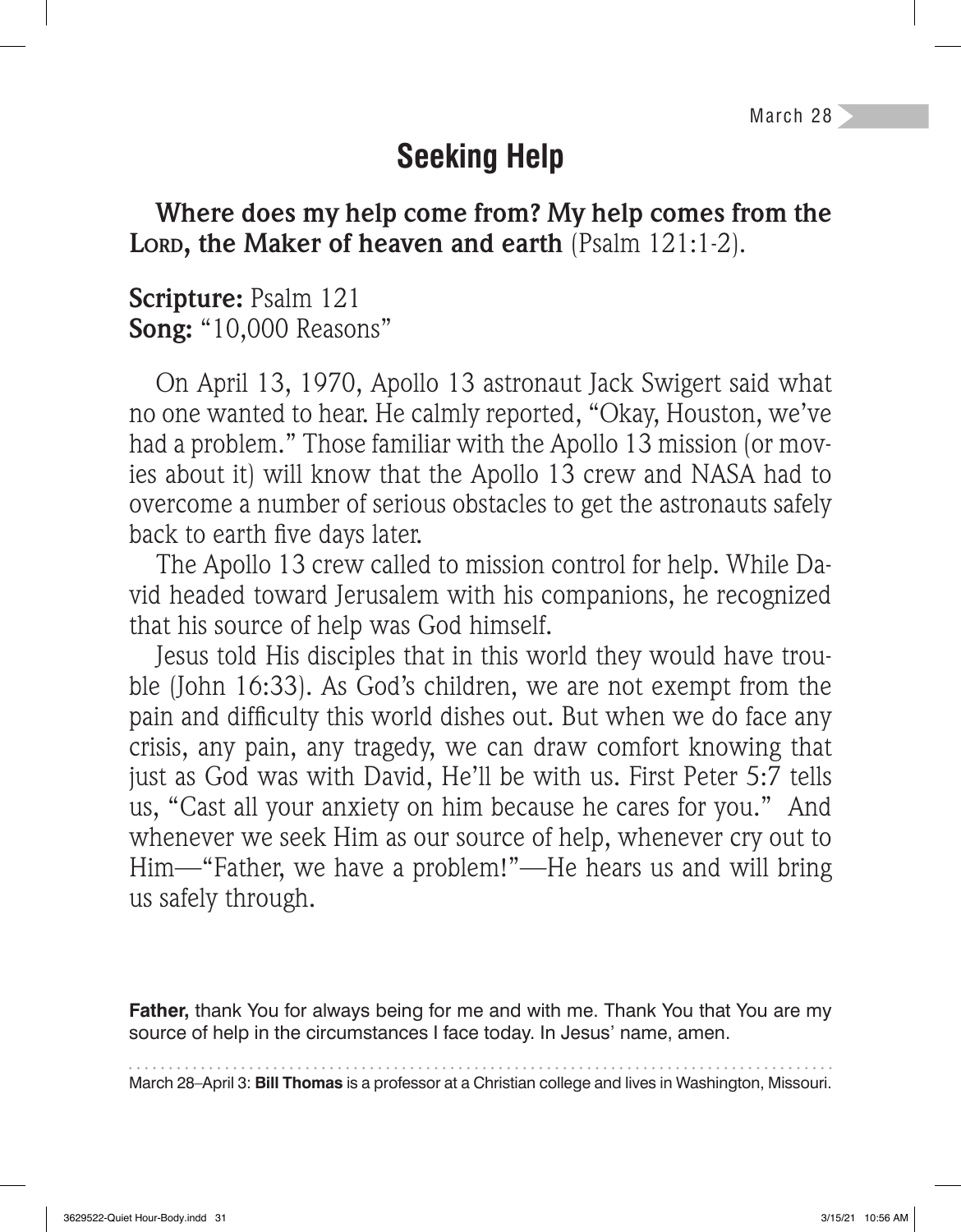# **Seeking Help**

**Where does my help come from? My help comes from the LORD, the Maker of heaven and earth** (Psalm 121:1-2).

**Scripture:** Psalm 121 **Song:** "10,000 Reasons"

On April 13, 1970, Apollo 13 astronaut Jack Swigert said what no one wanted to hear. He calmly reported, "Okay, Houston, we've had a problem." Those familiar with the Apollo 13 mission (or movies about it) will know that the Apollo 13 crew and NASA had to overcome a number of serious obstacles to get the astronauts safely back to earth five days later.

The Apollo 13 crew called to mission control for help. While David headed toward Jerusalem with his companions, he recognized that his source of help was God himself.

Jesus told His disciples that in this world they would have trouble (John 16:33). As God's children, we are not exempt from the pain and difficulty this world dishes out. But when we do face any crisis, any pain, any tragedy, we can draw comfort knowing that just as God was with David, He'll be with us. First Peter 5:7 tells us, "Cast all your anxiety on him because he cares for you." And whenever we seek Him as our source of help, whenever cry out to Him—"Father, we have a problem!"—He hears us and will bring us safely through.

**Father,** thank You for always being for me and with me. Thank You that You are my source of help in the circumstances I face today. In Jesus' name, amen.

March 28–April 3: **Bill Thomas** is a professor at a Christian college and lives in Washington, Missouri.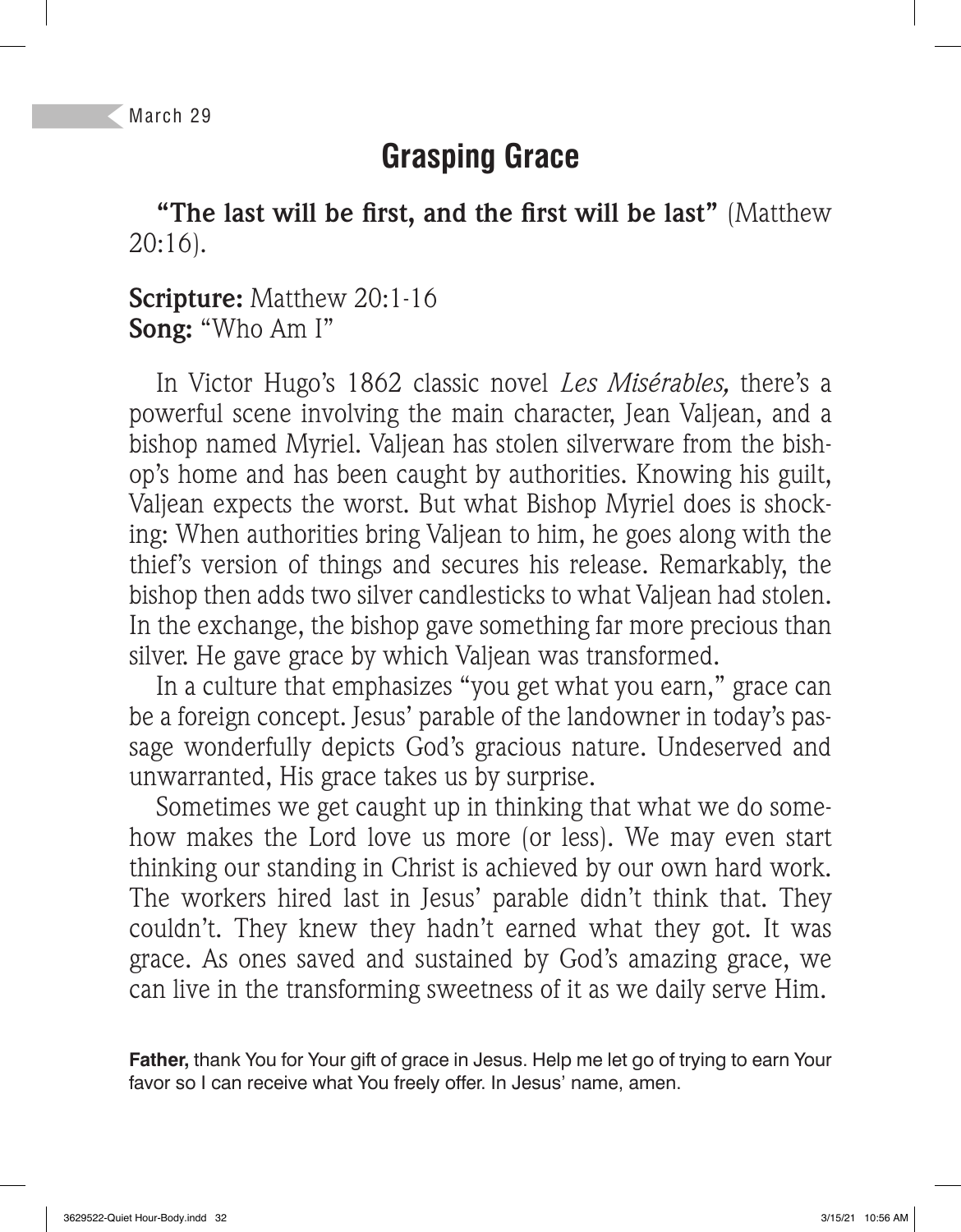## **Grasping Grace**

"The last will be first, and the first will be last" (Matthew 20:16).

**Scripture:** Matthew 20:1-16 **Song:** "Who Am I"

In Victor Hugo's 1862 classic novel *Les Misérables,* there's a powerful scene involving the main character, Jean Valjean, and a bishop named Myriel. Valjean has stolen silverware from the bishop's home and has been caught by authorities. Knowing his guilt, Valjean expects the worst. But what Bishop Myriel does is shocking: When authorities bring Valjean to him, he goes along with the thief's version of things and secures his release. Remarkably, the bishop then adds two silver candlesticks to what Valjean had stolen. In the exchange, the bishop gave something far more precious than silver. He gave grace by which Valjean was transformed.

In a culture that emphasizes "you get what you earn," grace can be a foreign concept. Jesus' parable of the landowner in today's passage wonderfully depicts God's gracious nature. Undeserved and unwarranted, His grace takes us by surprise.

Sometimes we get caught up in thinking that what we do somehow makes the Lord love us more (or less). We may even start thinking our standing in Christ is achieved by our own hard work. The workers hired last in Jesus' parable didn't think that. They couldn't. They knew they hadn't earned what they got. It was grace. As ones saved and sustained by God's amazing grace, we can live in the transforming sweetness of it as we daily serve Him.

**Father,** thank You for Your gift of grace in Jesus. Help me let go of trying to earn Your favor so I can receive what You freely offer. In Jesus' name, amen.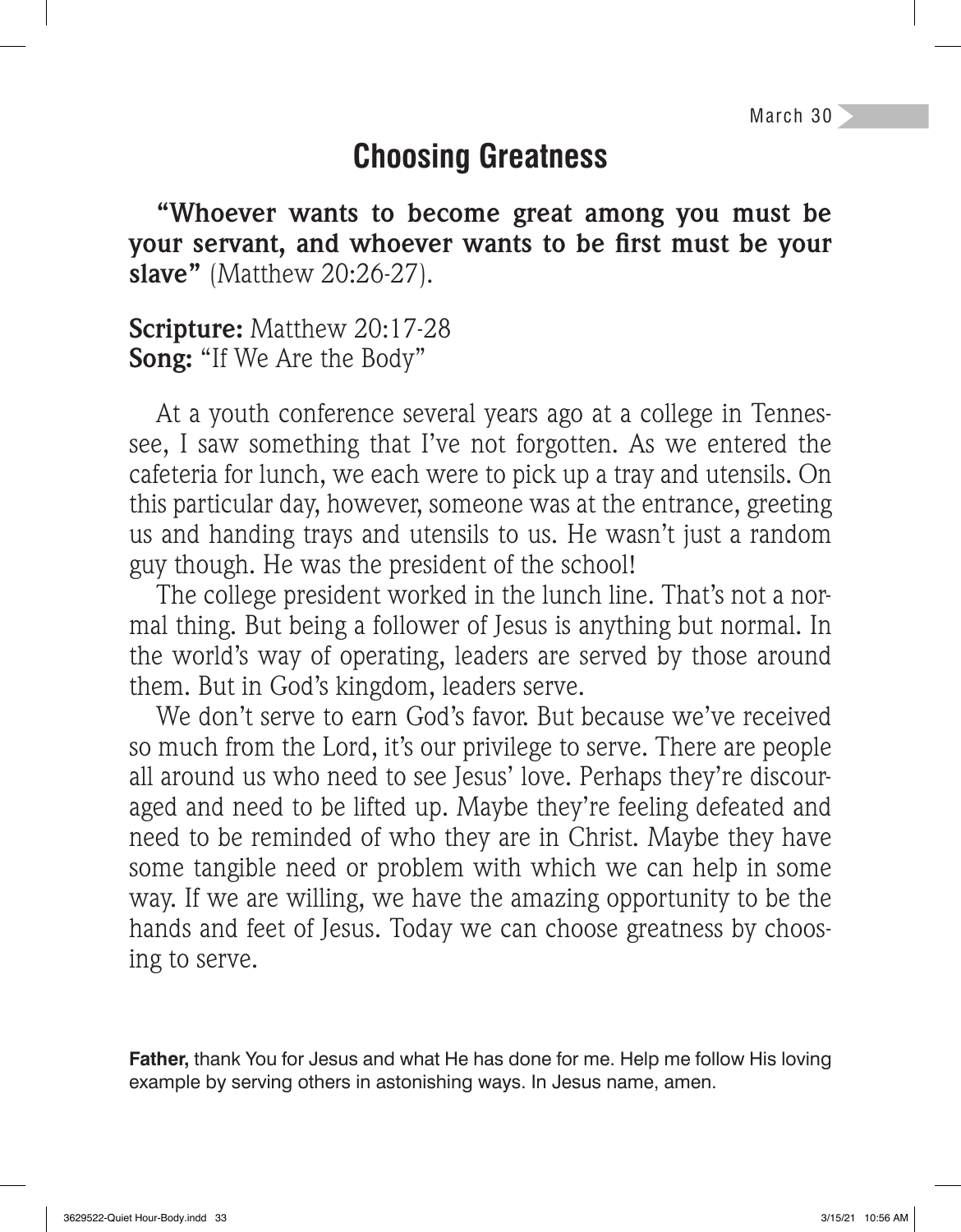#### **Choosing Greatness**

**"Whoever wants to become great among you must be**  your servant, and whoever wants to be first must be your **slave"** (Matthew 20:26-27).

**Scripture:** Matthew 20:17-28 **Song:** "If We Are the Body"

At a youth conference several years ago at a college in Tennessee, I saw something that I've not forgotten. As we entered the cafeteria for lunch, we each were to pick up a tray and utensils. On this particular day, however, someone was at the entrance, greeting us and handing trays and utensils to us. He wasn't just a random guy though. He was the president of the school!

The college president worked in the lunch line. That's not a normal thing. But being a follower of Jesus is anything but normal. In the world's way of operating, leaders are served by those around them. But in God's kingdom, leaders serve.

We don't serve to earn God's favor. But because we've received so much from the Lord, it's our privilege to serve. There are people all around us who need to see Jesus' love. Perhaps they're discouraged and need to be lifted up. Maybe they're feeling defeated and need to be reminded of who they are in Christ. Maybe they have some tangible need or problem with which we can help in some way. If we are willing, we have the amazing opportunity to be the hands and feet of Jesus. Today we can choose greatness by choosing to serve.

**Father,** thank You for Jesus and what He has done for me. Help me follow His loving example by serving others in astonishing ways. In Jesus name, amen.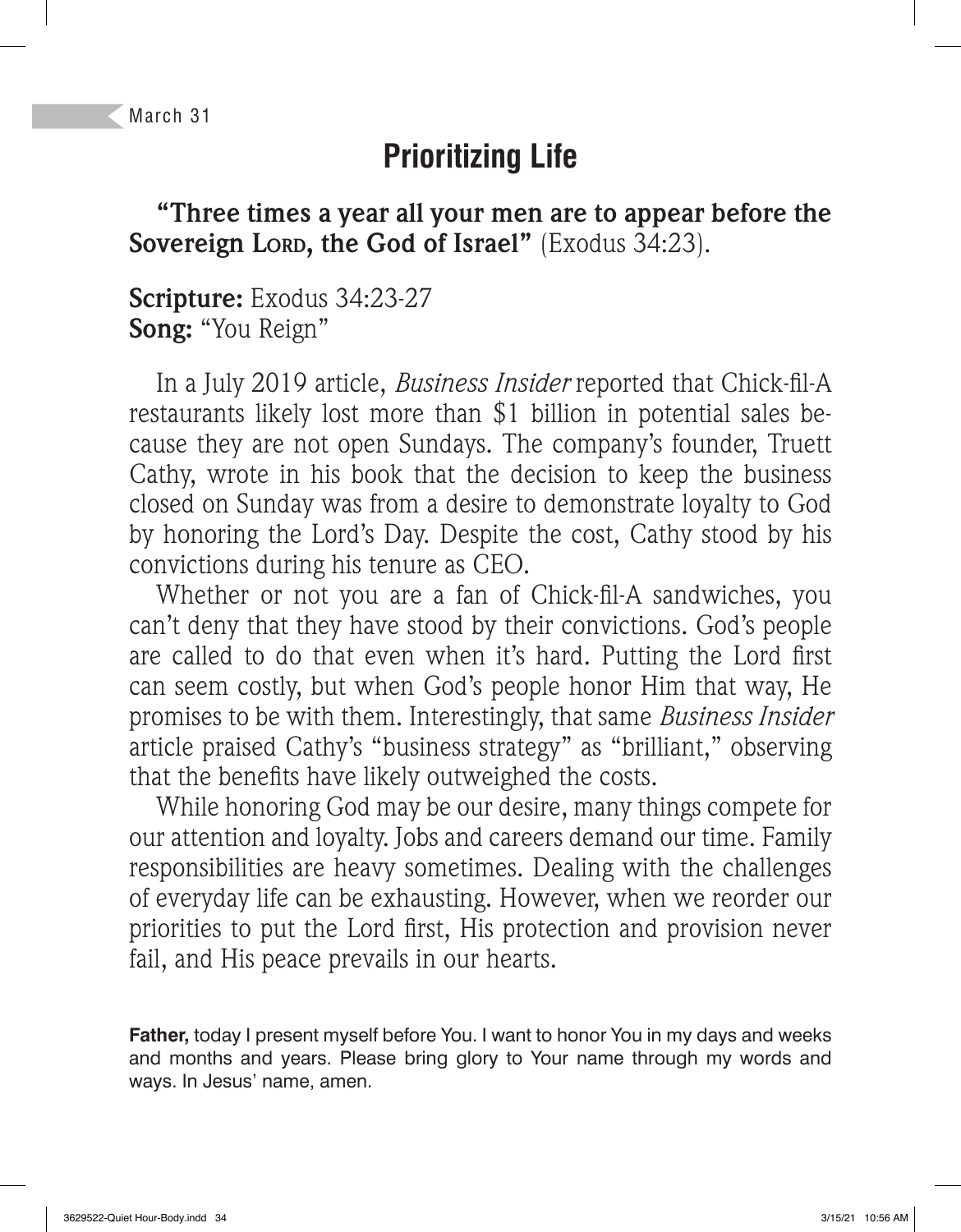# **Prioritizing Life**

**"Three times a year all your men are to appear before the Sovereign LORD, the God of Israel"** (Exodus 34:23).

**Scripture:** Exodus 34:23-27 **Song:** "You Reign"

In a July 2019 article, *Business Insider* reported that Chick-fil-A restaurants likely lost more than \$1 billion in potential sales because they are not open Sundays. The company's founder, Truett Cathy, wrote in his book that the decision to keep the business closed on Sunday was from a desire to demonstrate loyalty to God by honoring the Lord's Day. Despite the cost, Cathy stood by his convictions during his tenure as CEO.

Whether or not you are a fan of Chick-fil-A sandwiches, you can't deny that they have stood by their convictions. God's people are called to do that even when it's hard. Putting the Lord first can seem costly, but when God's people honor Him that way, He promises to be with them. Interestingly, that same *Business Insider*  article praised Cathy's "business strategy" as "brilliant," observing that the benefits have likely outweighed the costs.

While honoring God may be our desire, many things compete for our attention and loyalty. Jobs and careers demand our time. Family responsibilities are heavy sometimes. Dealing with the challenges of everyday life can be exhausting. However, when we reorder our priorities to put the Lord first, His protection and provision never fail, and His peace prevails in our hearts.

**Father,** today I present myself before You. I want to honor You in my days and weeks and months and years. Please bring glory to Your name through my words and ways. In Jesus' name, amen.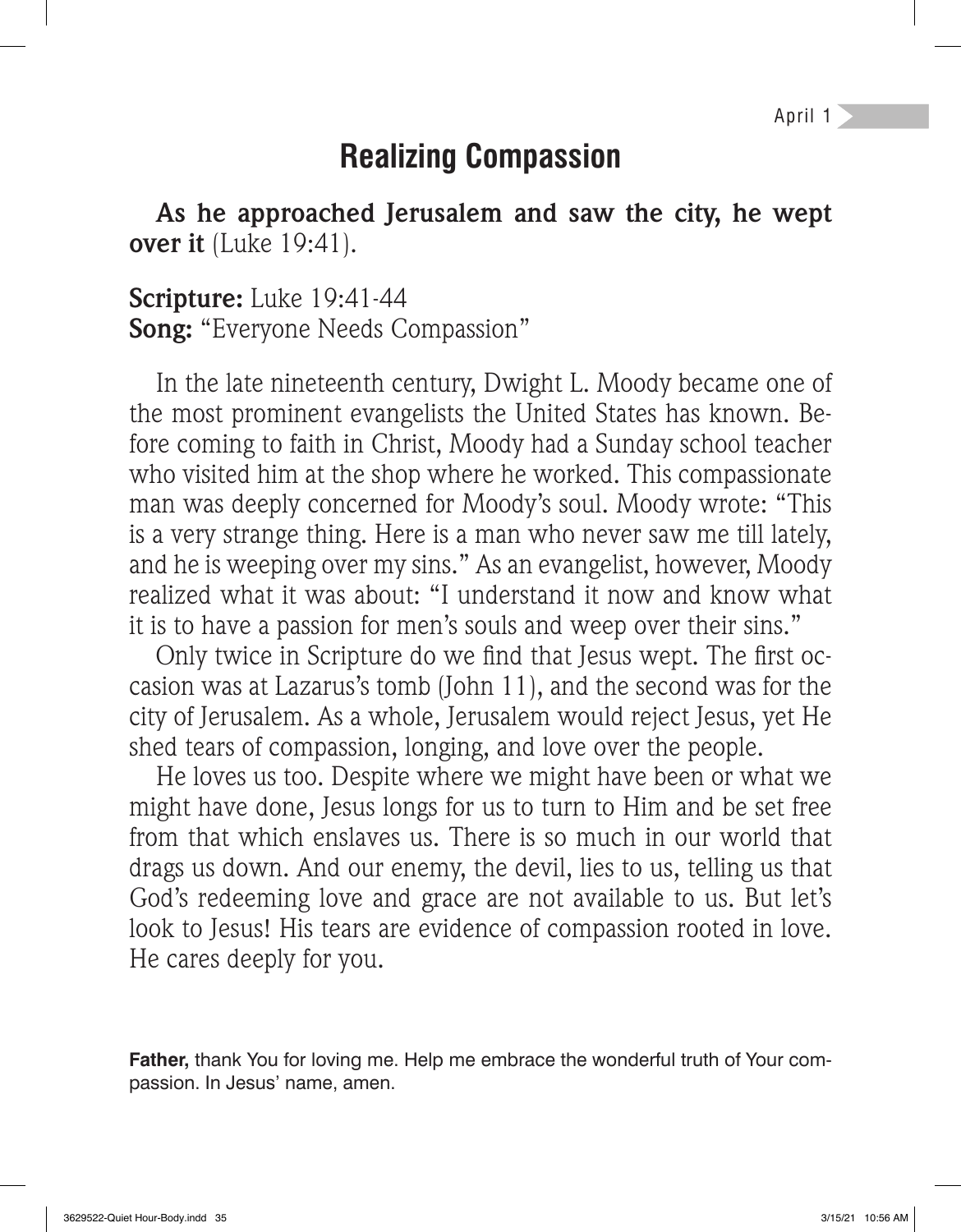April 1

### **Realizing Compassion**

**As he approached Jerusalem and saw the city, he wept over it** (Luke 19:41).

**Scripture:** Luke 19:41-44 **Song:** "Everyone Needs Compassion"

In the late nineteenth century, Dwight L. Moody became one of the most prominent evangelists the United States has known. Before coming to faith in Christ, Moody had a Sunday school teacher who visited him at the shop where he worked. This compassionate man was deeply concerned for Moody's soul. Moody wrote: "This is a very strange thing. Here is a man who never saw me till lately, and he is weeping over my sins." As an evangelist, however, Moody realized what it was about: "I understand it now and know what it is to have a passion for men's souls and weep over their sins."

Only twice in Scripture do we find that Jesus wept. The first occasion was at Lazarus's tomb (John 11), and the second was for the city of Jerusalem. As a whole, Jerusalem would reject Jesus, yet He shed tears of compassion, longing, and love over the people.

He loves us too. Despite where we might have been or what we might have done, Jesus longs for us to turn to Him and be set free from that which enslaves us. There is so much in our world that drags us down. And our enemy, the devil, lies to us, telling us that God's redeeming love and grace are not available to us. But let's look to Jesus! His tears are evidence of compassion rooted in love. He cares deeply for you.

**Father,** thank You for loving me. Help me embrace the wonderful truth of Your compassion. In Jesus' name, amen.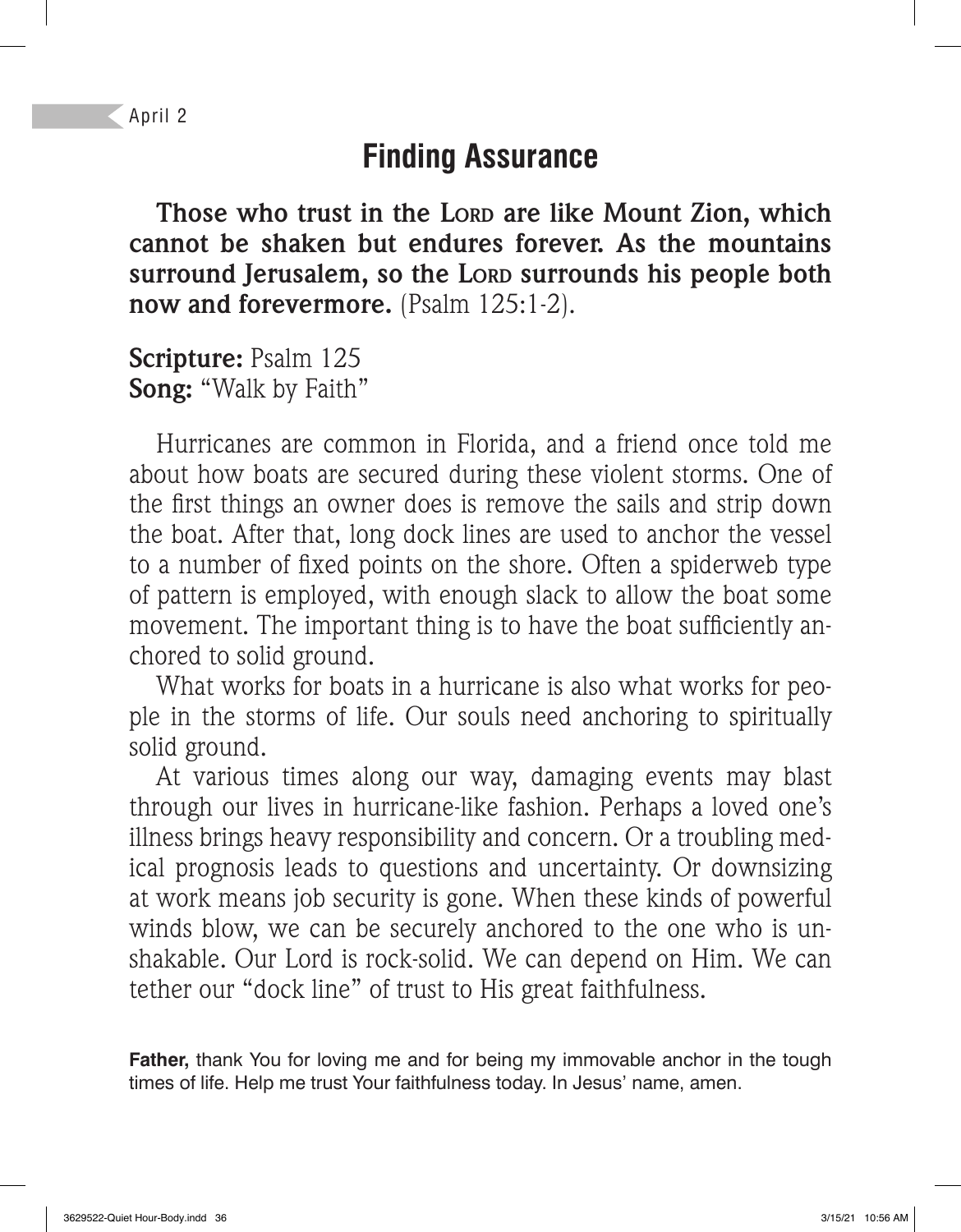## **Finding Assurance**

**Those who trust in the LORD are like Mount Zion, which cannot be shaken but endures forever. As the mountains surround Jerusalem, so the LORD surrounds his people both now and forevermore.** (Psalm 125:1-2).

**Scripture:** Psalm 125 **Song:** "Walk by Faith"

Hurricanes are common in Florida, and a friend once told me about how boats are secured during these violent storms. One of the first things an owner does is remove the sails and strip down the boat. After that, long dock lines are used to anchor the vessel to a number of fixed points on the shore. Often a spiderweb type of pattern is employed, with enough slack to allow the boat some movement. The important thing is to have the boat sufficiently anchored to solid ground.

What works for boats in a hurricane is also what works for people in the storms of life. Our souls need anchoring to spiritually solid ground.

At various times along our way, damaging events may blast through our lives in hurricane-like fashion. Perhaps a loved one's illness brings heavy responsibility and concern. Or a troubling medical prognosis leads to questions and uncertainty. Or downsizing at work means job security is gone. When these kinds of powerful winds blow, we can be securely anchored to the one who is unshakable. Our Lord is rock-solid. We can depend on Him. We can tether our "dock line" of trust to His great faithfulness.

**Father,** thank You for loving me and for being my immovable anchor in the tough times of life. Help me trust Your faithfulness today. In Jesus' name, amen.